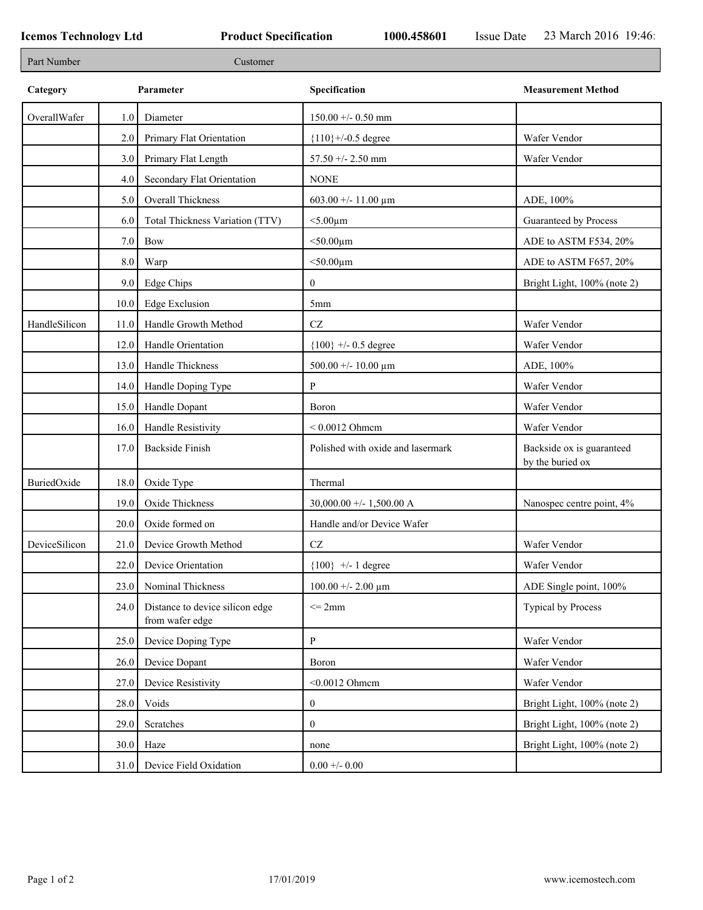F

| Part Number   |         | Customer                                           |                                   |                                               |
|---------------|---------|----------------------------------------------------|-----------------------------------|-----------------------------------------------|
| Category      |         | Parameter                                          | Specification                     | <b>Measurement Method</b>                     |
| OverallWafer  | 1.0     | Diameter                                           | $150.00 +/- 0.50$ mm              |                                               |
|               | 2.0     | Primary Flat Orientation                           | ${110}$ +/-0.5 degree             | Wafer Vendor                                  |
|               | 3.0     | Primary Flat Length                                | $57.50 + - 2.50$ mm               | Wafer Vendor                                  |
|               | 4.0     | Secondary Flat Orientation                         | <b>NONE</b>                       |                                               |
|               | 5.0     | Overall Thickness                                  | 603.00 +/- 11.00 $\mu$ m          | ADE, 100%                                     |
|               | 6.0     | Total Thickness Variation (TTV)                    | $<$ 5.00 $\mu$ m                  | Guaranteed by Process                         |
|               | $7.0\,$ | Bow                                                | $<$ 50.00 $\mu$ m                 | ADE to ASTM F534, 20%                         |
|               | 8.0     | Warp                                               | $<$ 50.00 $\mu$ m                 | ADE to ASTM F657, 20%                         |
|               | 9.0     | Edge Chips                                         | $\boldsymbol{0}$                  | Bright Light, 100% (note 2)                   |
|               | 10.0    | <b>Edge Exclusion</b>                              | 5 <sub>mm</sub>                   |                                               |
| HandleSilicon | 11.0    | Handle Growth Method                               | $\operatorname{CZ}$               | Wafer Vendor                                  |
|               | 12.0    | Handle Orientation                                 | ${100}$ +/- 0.5 degree            | Wafer Vendor                                  |
|               | 13.0    | Handle Thickness                                   | 500.00 +/- 10.00 $\mu$ m          | ADE, 100%                                     |
|               | 14.0    | Handle Doping Type                                 | P                                 | Wafer Vendor                                  |
|               | 15.0    | Handle Dopant                                      | Boron                             | Wafer Vendor                                  |
|               | 16.0    | Handle Resistivity                                 | $< 0.0012$ Ohmem                  | Wafer Vendor                                  |
|               | 17.0    | <b>Backside Finish</b>                             | Polished with oxide and lasermark | Backside ox is guaranteed<br>by the buried ox |
| BuriedOxide   | 18.0    | Oxide Type                                         | Thermal                           |                                               |
|               | 19.0    | Oxide Thickness                                    | 30,000.00 +/- 1,500.00 A          | Nanospec centre point, 4%                     |
|               | 20.0    | Oxide formed on                                    | Handle and/or Device Wafer        |                                               |
| DeviceSilicon | 21.0    | Device Growth Method                               | <b>CZ</b>                         | Wafer Vendor                                  |
|               |         | 22.0 Device Orientation                            | ${100}$ +/- 1 degree              | Wafer Vendor                                  |
|               | 23.0    | Nominal Thickness                                  | $100.00 + - 2.00 \mu m$           | ADE Single point, 100%                        |
|               | 24.0    | Distance to device silicon edge<br>from wafer edge | $\leq$ 2mm                        | <b>Typical by Process</b>                     |
|               | 25.0    | Device Doping Type                                 | $\, {\bf p}$                      | Wafer Vendor                                  |
|               | 26.0    | Device Dopant                                      | Boron                             | Wafer Vendor                                  |
|               | 27.0    | Device Resistivity                                 | $<$ 0.0012 Ohmem                  | Wafer Vendor                                  |
|               | 28.0    | Voids                                              | $\boldsymbol{0}$                  | Bright Light, 100% (note 2)                   |
|               | 29.0    | Scratches                                          | $\mathbf{0}$                      | Bright Light, 100% (note 2)                   |
|               | 30.0    | Haze                                               | none                              | Bright Light, 100% (note 2)                   |
|               | 31.0    | Device Field Oxidation                             | $0.00 +/- 0.00$                   |                                               |